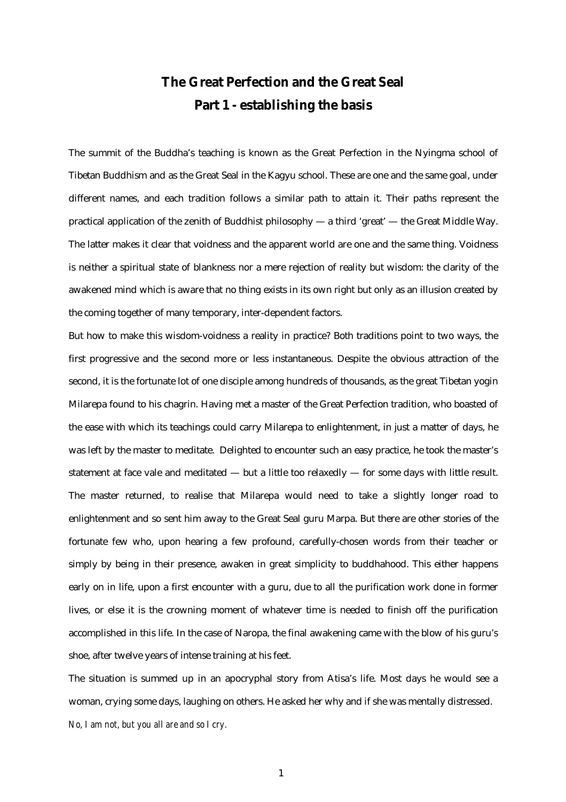## **The Great Perfection and the Great Seal Part 1 - establishing the basis**

The summit of the Buddha's teaching is known as the Great Perfection in the Nyingma school of Tibetan Buddhism and as the Great Seal in the Kagyu school. These are one and the same goal, under different names, and each tradition follows a similar path to attain it. Their paths represent the practical application of the zenith of Buddhist philosophy — a third 'great' — the Great Middle Way. The latter makes it clear that voidness and the apparent world are one and the same thing. Voidness is neither a spiritual state of blankness nor a mere rejection of reality but wisdom: the clarity of the awakened mind which is aware that no thing exists in its own right but only as an illusion created by the coming together of many temporary, inter-dependent factors.

But how to make this wisdom-voidness a reality in practice? Both traditions point to two ways, the first progressive and the second more or less instantaneous. Despite the obvious attraction of the second, it is the fortunate lot of one disciple among hundreds of thousands, as the great Tibetan yogin Milarepa found to his chagrin. Having met a master of the Great Perfection tradition, who boasted of the ease with which its teachings could carry Milarepa to enlightenment, in just a matter of days, he was left by the master to meditate. Delighted to encounter such an easy practice, he took the master's statement at face vale and meditated — but a little too relaxedly — for some days with little result. The master returned, to realise that Milarepa would need to take a slightly longer road to enlightenment and so sent him away to the Great Seal guru Marpa. But there are other stories of the fortunate few who, upon hearing a few profound, carefully-chosen words from their teacher or simply by being in their presence, awaken in great simplicity to buddhahood. This either happens early on in life, upon a first encounter with a guru, due to all the purification work done in former lives, or else it is the crowning moment of whatever time is needed to finish off the purification accomplished in this life. In the case of Naropa, the final awakening came with the blow of his guru's shoe, after twelve years of intense training at his feet.

The situation is summed up in an apocryphal story from Atisa's life. Most days he would see a woman, crying some days, laughing on others. He asked her why and if she was mentally distressed. *No, I am not, but you all are and so I cry.*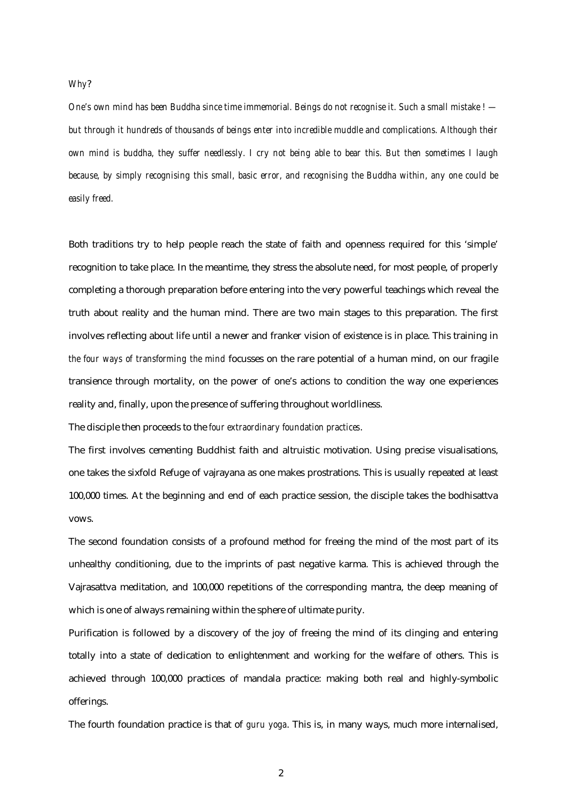## *Why*?

*One's own mind has been Buddha since time immemorial. Beings do not recognise it. Such a small mistake ! but through it hundreds of thousands of beings enter into incredible muddle and complications. Although their own mind is buddha, they suffer needlessly. I cry not being able to bear this. But then sometimes I laugh because, by simply recognising this small, basic error, and recognising the Buddha within, any one could be easily freed.*

Both traditions try to help people reach the state of faith and openness required for this 'simple' recognition to take place. In the meantime, they stress the absolute need, for most people, of properly completing a thorough preparation before entering into the very powerful teachings which reveal the truth about reality and the human mind. There are two main stages to this preparation. The first involves reflecting about life until a newer and franker vision of existence is in place. This training in *the four ways of transforming the mind* focusses on the rare potential of a human mind, on our fragile transience through mortality, on the power of one's actions to condition the way one experiences reality and, finally, upon the presence of suffering throughout worldliness.

The disciple then proceeds to the *four extraordinary foundation practices*.

The first involves cementing Buddhist faith and altruistic motivation. Using precise visualisations, one takes the sixfold Refuge of vajrayana as one makes prostrations. This is usually repeated at least 100,000 times. At the beginning and end of each practice session, the disciple takes the bodhisattva vows.

The second foundation consists of a profound method for freeing the mind of the most part of its unhealthy conditioning, due to the imprints of past negative karma. This is achieved through the Vajrasattva meditation, and 100,000 repetitions of the corresponding mantra, the deep meaning of which is one of always remaining within the sphere of ultimate purity.

Purification is followed by a discovery of the joy of freeing the mind of its clinging and entering totally into a state of dedication to enlightenment and working for the welfare of others. This is achieved through 100,000 practices of mandala practice: making both real and highly-symbolic offerings.

The fourth foundation practice is that of *guru yoga*. This is, in many ways, much more internalised,

2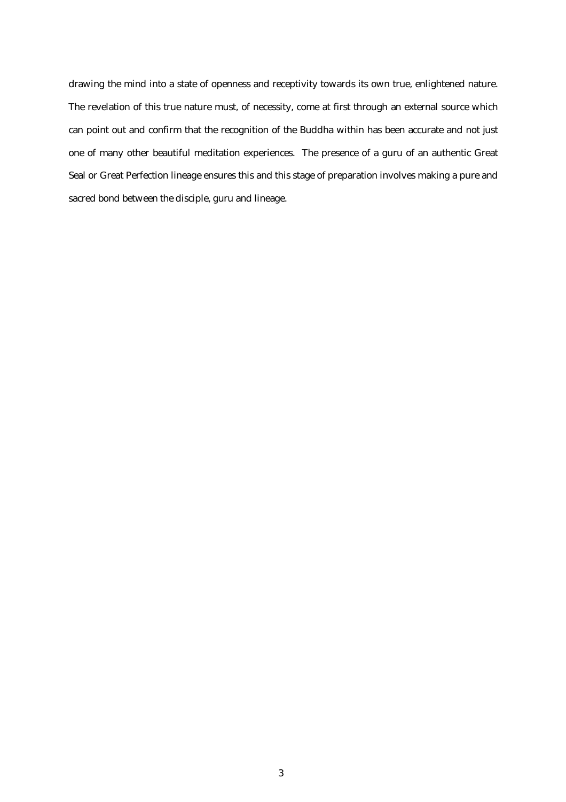drawing the mind into a state of openness and receptivity towards its own true, enlightened nature. The revelation of this true nature must, of necessity, come at first through an external source which can point out and confirm that the recognition of the Buddha within has been accurate and not just one of many other beautiful meditation experiences. The presence of a guru of an authentic Great Seal or Great Perfection lineage ensures this and this stage of preparation involves making a pure and sacred bond between the disciple, guru and lineage.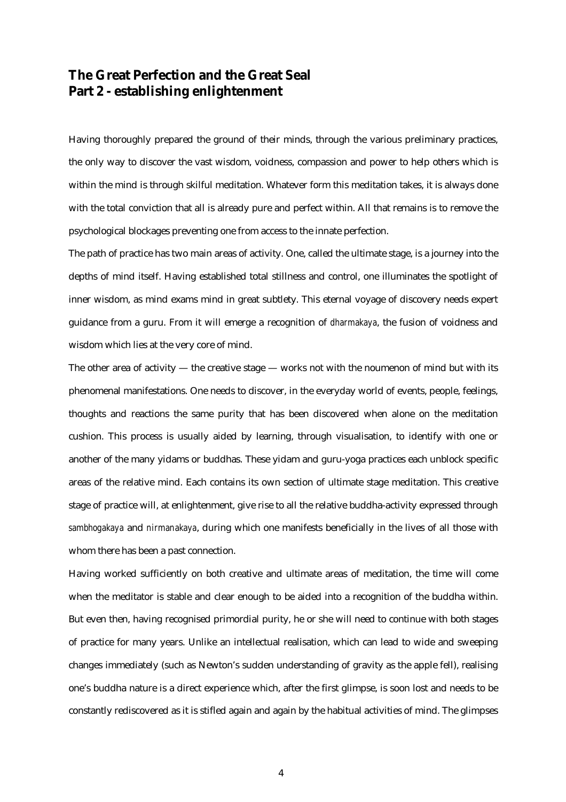## **The Great Perfection and the Great Seal Part 2 - establishing enlightenment**

Having thoroughly prepared the ground of their minds, through the various preliminary practices, the only way to discover the vast wisdom, voidness, compassion and power to help others which is within the mind is through skilful meditation. Whatever form this meditation takes, it is always done with the total conviction that all is already pure and perfect within. All that remains is to remove the psychological blockages preventing one from access to the innate perfection.

The path of practice has two main areas of activity. One, called the ultimate stage, is a journey into the depths of mind itself. Having established total stillness and control, one illuminates the spotlight of inner wisdom, as mind exams mind in great subtlety. This eternal voyage of discovery needs expert guidance from a guru. From it will emerge a recognition of *dharmakaya*, the fusion of voidness and wisdom which lies at the very core of mind.

The other area of activity — the creative stage — works not with the noumenon of mind but with its phenomenal manifestations. One needs to discover, in the everyday world of events, people, feelings, thoughts and reactions the same purity that has been discovered when alone on the meditation cushion. This process is usually aided by learning, through visualisation, to identify with one or another of the many yidams or buddhas. These yidam and guru-yoga practices each unblock specific areas of the relative mind. Each contains its own section of ultimate stage meditation. This creative stage of practice will, at enlightenment, give rise to all the relative buddha-activity expressed through *sambhogakaya* and *nirmanakaya*, during which one manifests beneficially in the lives of all those with whom there has been a past connection.

Having worked sufficiently on both creative and ultimate areas of meditation, the time will come when the meditator is stable and clear enough to be aided into a recognition of the buddha within. But even then, having recognised primordial purity, he or she will need to continue with both stages of practice for many years. Unlike an intellectual realisation, which can lead to wide and sweeping changes immediately (such as Newton's sudden understanding of gravity as the apple fell), realising one's buddha nature is a direct experience which, after the first glimpse, is soon lost and needs to be constantly rediscovered as it is stifled again and again by the habitual activities of mind. The glimpses